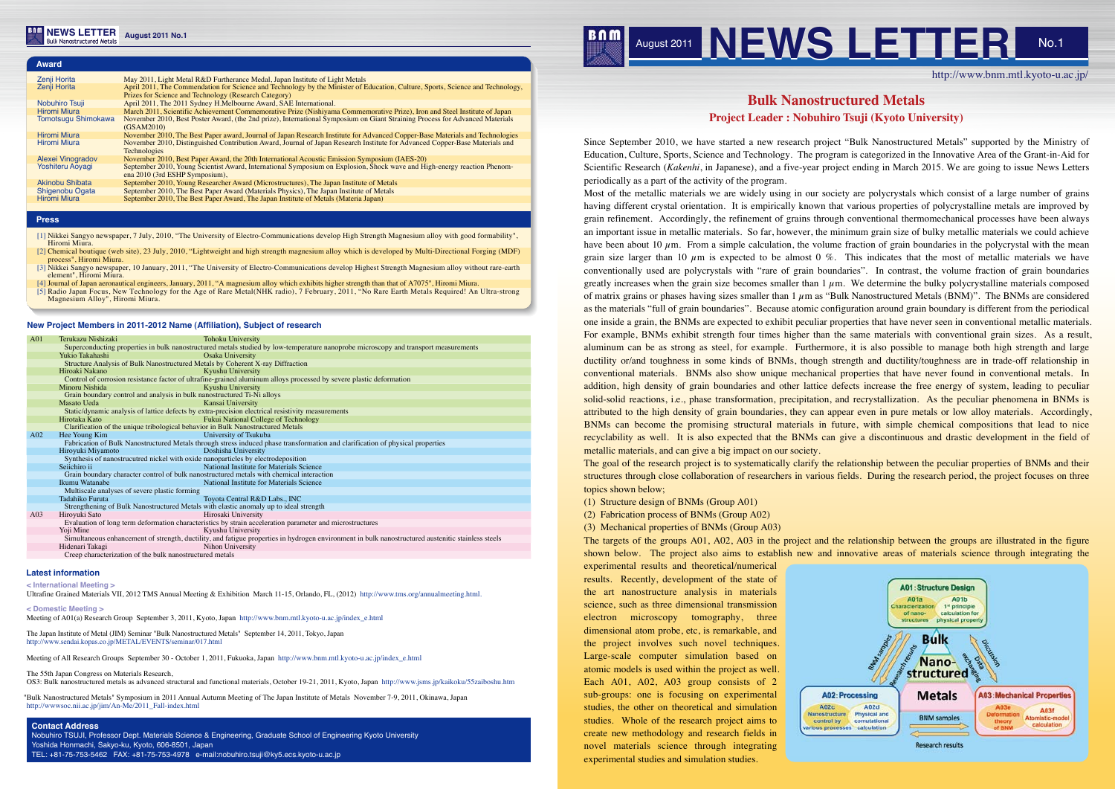

http://www.bnm.mtl.kyoto-u.ac.jp/

**A01: Structure Design**  $A<sub>01a</sub>$ **A01b** 1<sup>st</sup> principle aracterization of nanocalculation for structures physical propert **Bulk** Nanostructured A02: Processing **Metals A03: Mechanical Properties** A02d A03f Nanostructure Physical and **BNM** samples Ate comutational calculation ous processes calculation **Research results** 

# **Bulk Nanostructured Metals Project Leader : Nobuhiro Tsuji (Kyoto University)**

Since September 2010, we have started a new research project "Bulk Nanostructured Metals" supported by the Ministry of Education, Culture, Sports, Science and Technology. The program is categorized in the Innovative Area of the Grant-in-Aid for Scientific Research (*Kakenhi*, in Japanese), and a five-year project ending in March 2015. We are going to issue News Letters periodically as a part of the activity of the program.

Most of the metallic materials we are widely using in our society are polycrystals which consist of a large number of grains having different crystal orientation. It is empirically known that various properties of polycrystalline metals are improved by grain refinement. Accordingly, the refinement of grains through conventional thermomechanical processes have been always an important issue in metallic materials. So far, however, the minimum grain size of bulky metallic materials we could achieve have been about 10  $\mu$ m. From a simple calculation, the volume fraction of grain boundaries in the polycrystal with the mean grain size larger than 10  $\mu$ m is expected to be almost 0 %. This indicates that the most of metallic materials we have conventionally used are polycrystals with "rare of grain boundaries". In contrast, the volume fraction of grain boundaries greatly increases when the grain size becomes smaller than  $1 \mu$ m. We determine the bulky polycrystalline materials composed of matrix grains or phases having sizes smaller than  $1 \mu$ m as "Bulk Nanostructured Metals (BNM)". The BNMs are considered as the materials "full of grain boundaries". Because atomic configuration around grain boundary is different from the periodical one inside a grain, the BNMs are expected to exhibit peculiar properties that have never seen in conventional metallic materials. For example, BNMs exhibit strength four times higher than the same materials with conventional grain sizes. As a result, aluminum can be as strong as steel, for example. Furthermore, it is also possible to manage both high strength and large ductility or/and toughness in some kinds of BNMs, though strength and ductility/toughness are in trade-off relationship in conventional materials. BNMs also show unique mechanical properties that have never found in conventional metals. In addition, high density of grain boundaries and other lattice defects increase the free energy of system, leading to peculiar solid-solid reactions, i.e., phase transformation, precipitation, and recrystallization. As the peculiar phenomena in BNMs is attributed to the high density of grain boundaries, they can appear even in pure metals or low alloy materials. Accordingly, BNMs can become the promising structural materials in future, with simple chemical compositions that lead to nice recyclability as well. It is also expected that the BNMs can give a discontinuous and drastic development in the field of metallic materials, and can give a big impact on our society.

The 55th Japan Congress on Materials Research OS3: Bulk nanostructured metals as advanced structural and functional materials, October 19-21, 2011, Kyoto, Japan http://www.jsms.jp/kaikoku/55zaiboshu.htm The goal of the research project is to systematically clarify the relationship between the peculiar properties of BNMs and their structures through close collaboration of researchers in various fields. During the research period, the project focuses on three topics shown below;

(1) Structure design of BNMs (Group A01)

(2) Fabrication process of BNMs (Group A02)

(3) Mechanical properties of BNMs (Group A03)

The targets of the groups A01, A02, A03 in the project and the relationship between the groups are illustrated in the figure shown below. The project also aims to establish new and innovative areas of materials science through integrating the

experimental results and theoretical/numerical results. Recently, development of the state of the art nanostructure analysis in materials science, such as three dimensional transmission electron microscopy tomography, three dimensional atom probe, etc, is remarkable, and the project involves such novel techniques. Large-scale computer simulation based on atomic models is used within the project as well. Each A01, A02, A03 group consists of 2 sub-groups: one is focusing on experimental studies, the other on theoretical and simulation studies. Whole of the research project aims to create new methodology and research fields in novel materials science through integrating experimental studies and simulation studies.

# $A02c$ control by

#### **New Project Members in 2011-2012 Name (Affiliation), Subject of research**

| A01             | Terukazu Nishizaki                                                                                                                                 | <b>Tohoku University</b>                                                                                                       |
|-----------------|----------------------------------------------------------------------------------------------------------------------------------------------------|--------------------------------------------------------------------------------------------------------------------------------|
|                 | Superconducting properties in bulk nanostructured metals studied by low-temperature nanoprobe microscopy and transport measurements                |                                                                                                                                |
|                 | Yukio Takahashi                                                                                                                                    | Osaka University                                                                                                               |
|                 |                                                                                                                                                    | Structure Analysis of Bulk Nanostructured Metals by Coherent X-ray Diffraction                                                 |
|                 | Hiroaki Nakano                                                                                                                                     | Kyushu University                                                                                                              |
|                 |                                                                                                                                                    | Control of corrosion resistance factor of ultrafine-grained aluminum alloys processed by severe plastic deformation            |
|                 | Minoru Nishida                                                                                                                                     | Kyushu University                                                                                                              |
|                 |                                                                                                                                                    | Grain boundary control and analysis in bulk nanostructured Ti-Ni alloys                                                        |
|                 | Masato Ueda                                                                                                                                        | Kansai University                                                                                                              |
|                 |                                                                                                                                                    | Static/dynamic analysis of lattice defects by extra-precision electrical resistivity measurements                              |
|                 | Hirotaka Kato                                                                                                                                      | Fukui National College of Technology                                                                                           |
|                 | Clarification of the unique tribological behavior in Bulk Nanostructured Metals                                                                    |                                                                                                                                |
| A <sub>02</sub> | Hee Young Kim                                                                                                                                      | University of Tsukuba                                                                                                          |
|                 |                                                                                                                                                    | Fabrication of Bulk Nanostructured Metals through stress induced phase transformation and clarification of physical properties |
|                 | Hiroyuki Miyamoto                                                                                                                                  | Doshisha University                                                                                                            |
|                 |                                                                                                                                                    | Synthesis of nanostrucutred nickel with oxide nanoparticles by electrodeposition                                               |
|                 | Seiichiro ii                                                                                                                                       | National Institute for Materials Science                                                                                       |
|                 |                                                                                                                                                    | Grain boundary character control of bulk nanostructured metals with chemical interaction                                       |
|                 | Ikumu Watanabe                                                                                                                                     | National Institute for Materials Science                                                                                       |
|                 | Multiscale analyses of severe plastic forming                                                                                                      |                                                                                                                                |
|                 | Tadahiko Furuta                                                                                                                                    | Toyota Central R&D Labs., INC                                                                                                  |
|                 | Strengthening of Bulk Nanostructured Metals with elastic anomaly up to ideal strength                                                              |                                                                                                                                |
| A <sub>03</sub> | Hiroyuki Sato                                                                                                                                      | Hirosaki University                                                                                                            |
|                 |                                                                                                                                                    | Evaluation of long term deformation characteristics by strain acceleration parameter and microstructures                       |
|                 | Yoji Mine                                                                                                                                          | Kyushu University                                                                                                              |
|                 | Simultaneous enhancement of strength, ductility, and fatigue properties in hydrogen environment in bulk nanostructured austenitic stainless steels |                                                                                                                                |
|                 | Hidenari Takagi                                                                                                                                    | Nihon University                                                                                                               |
|                 | Creep characterization of the bulk nanostructured metals                                                                                           |                                                                                                                                |

**< International Meeting >**

Ultrafine Grained Materials VII, 2012 TMS Annual Meeting & Exhibition March 11-15, Orlando, FL, (2012) http://www.tms.org/annualmeeting.html.

**< Domestic Meeting >**

Meeting of A01(a) Research Group September 3, 2011, Kyoto, Japan http://www.bnm.mtl.kyoto-u.ac.jp/index\_e.html

| Zenji Horita            | May 2011, Light Metal R&D Furtherance Medal, Japan Institute of Light Metals                                                                               |
|-------------------------|------------------------------------------------------------------------------------------------------------------------------------------------------------|
| Zenji Horita            | April 2011, The Commendation for Science and Technology by the Minister of Education, Culture, Sports, Science and Technology,                             |
|                         | Prizes for Science and Technology (Research Category)                                                                                                      |
| Nobuhiro Tsuji          | April 2011, The 2011 Sydney H.Melbourne Award, SAE International.                                                                                          |
| <b>Hiromi Miura</b>     | March 2011, Scientific Achievement Commemorative Prize (Nishiyama Commemorative Prize), Iron and Steel Institute of Japan                                  |
| Tomotsugu Shimokawa     | November 2010, Best Poster Award, (the 2nd prize), International Symposium on Giant Straining Process for Advanced Materials<br>(GSAM2010)                 |
| <b>Hiromi Miura</b>     | November 2010, The Best Paper award, Journal of Japan Research Institute for Advanced Copper-Base Materials and Technologies                               |
| Hiromi Miura            | November 2010, Distinguished Contribution Award, Journal of Japan Research Institute for Advanced Copper-Base Materials and<br><b>Technologies</b>         |
| Alexei Vinogradov       | November 2010, Best Paper Award, the 20th International Acoustic Emission Symposium (IAES-20)                                                              |
| <b>Yoshiteru Aoyagi</b> | September 2010, Young Scientist Award, International Symposium on Explosion, Shock wave and High-energy reaction Phenom-<br>ena 2010 (3rd ESHP Symposium), |
| Akinobu Shibata         | September 2010, Young Researcher Award (Microstructures), The Japan Institute of Metals                                                                    |
| Shigenobu Ogata         | September 2010, The Best Paper Award (Materials Physics), The Japan Institute of Metals                                                                    |
| <b>Hiromi Miura</b>     | September 2010, The Best Paper Award, The Japan Institute of Metals (Materia Japan)                                                                        |

The Japan Institute of Metal (JIM) Seminar "Bulk Nanostructured Metals" September 14, 2011, Tokyo, Japan http://www.sendai.kopas.co.jp/METAL/EVENTS/seminar/017.html

Meeting of All Research Groups September 30 - October 1, 2011, Fukuoka, Japan http://www.bnm.mtl.kyoto-u.ac.jp/index\_e.html

"Bulk Nanostructured Metals" Symposium in 2011 Annual Autumn Meeting of The Japan Institute of Metals November 7-9, 2011, Okinawa, Japan http://wwwsoc.nii.ac.jp/jim/An-Me/2011\_Fall-index.html

## **Contact Address**

Nobuhiro TSUJI, Professor Dept. Materials Science & Engineering, Graduate School of Engineering Kyoto University Yoshida Honmachi, Sakyo-ku, Kyoto, 606-8501, Japan TEL: +81-75-753-5462 FAX: +81-75-753-4978 e-mail:nobuhiro.tsuji@ky5.ecs.kyoto-u.ac.jp

### **Latest information**

**Award**

### **Press**

- [1] Nikkei Sangyo newspaper, 7 July, 2010, "The University of Electro-Communications develop High Strength Magnesium alloy with good formability", Hiromi Miura.
- [2] Chemical boutique (web site), 23 July, 2010, "Lightweight and high strength magnesium alloy which is developed by Multi-Directional Forging (MDF) process", Hiromi Miura.
- [3] Nikkei Sangyo newspaper, 10 January, 2011, "The University of Electro-Communications develop Highest Strength Magnesium alloy without rare-earth element", Hiromi Miura.
- [4] Journal of Japan aeronautical engineers, January, 2011, "A magnesium alloy which exhibits higher strength than that of A7075", Hiromi Miura.
- [5] Radio Japan Focus, New Technology for the Age of Rare Metal(NHK radio), 7 February, 2011, "No Rare Earth Metals Required! An Ultra-strong Magnesium Alloy", Hiromi Miura.